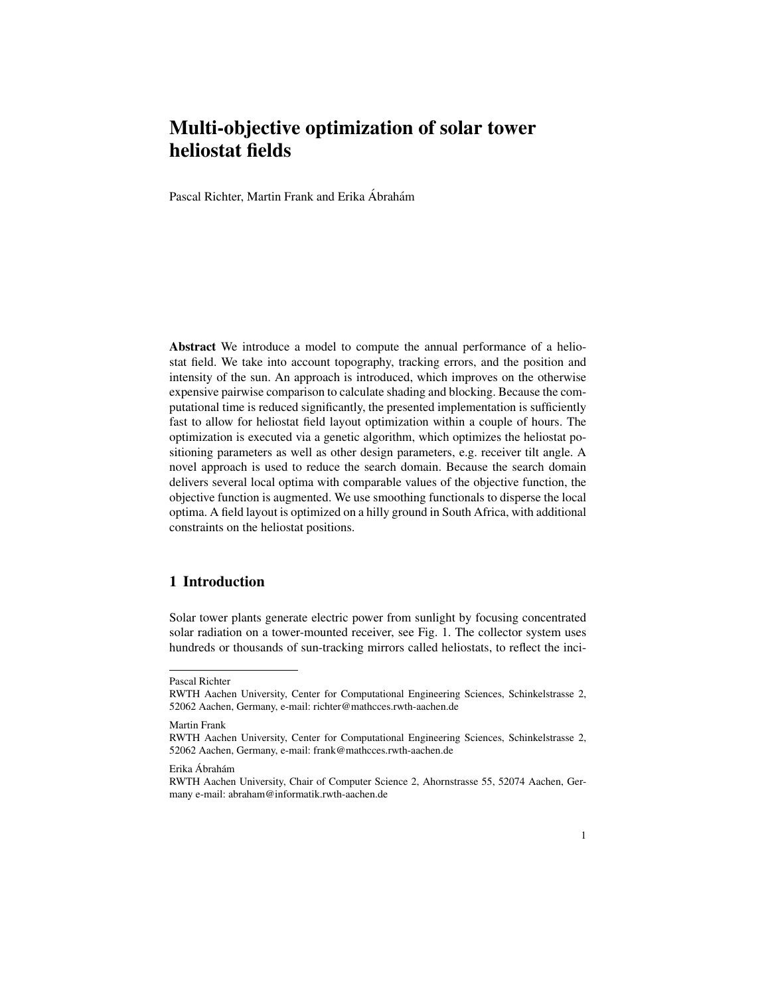# Multi-objective optimization of solar tower heliostat fields

Pascal Richter, Martin Frank and Erika Ábrahám

Abstract We introduce a model to compute the annual performance of a heliostat field. We take into account topography, tracking errors, and the position and intensity of the sun. An approach is introduced, which improves on the otherwise expensive pairwise comparison to calculate shading and blocking. Because the computational time is reduced significantly, the presented implementation is sufficiently fast to allow for heliostat field layout optimization within a couple of hours. The optimization is executed via a genetic algorithm, which optimizes the heliostat positioning parameters as well as other design parameters, e.g. receiver tilt angle. A novel approach is used to reduce the search domain. Because the search domain delivers several local optima with comparable values of the objective function, the objective function is augmented. We use smoothing functionals to disperse the local optima. A field layout is optimized on a hilly ground in South Africa, with additional constraints on the heliostat positions.

# 1 Introduction

Solar tower plants generate electric power from sunlight by focusing concentrated solar radiation on a tower-mounted receiver, see Fig. 1. The collector system uses hundreds or thousands of sun-tracking mirrors called heliostats, to reflect the inci-

Martin Frank

Pascal Richter

RWTH Aachen University, Center for Computational Engineering Sciences, Schinkelstrasse 2, 52062 Aachen, Germany, e-mail: richter@mathcces.rwth-aachen.de

RWTH Aachen University, Center for Computational Engineering Sciences, Schinkelstrasse 2, 52062 Aachen, Germany, e-mail: frank@mathcces.rwth-aachen.de

Erika Ábrahám

RWTH Aachen University, Chair of Computer Science 2, Ahornstrasse 55, 52074 Aachen, Germany e-mail: abraham@informatik.rwth-aachen.de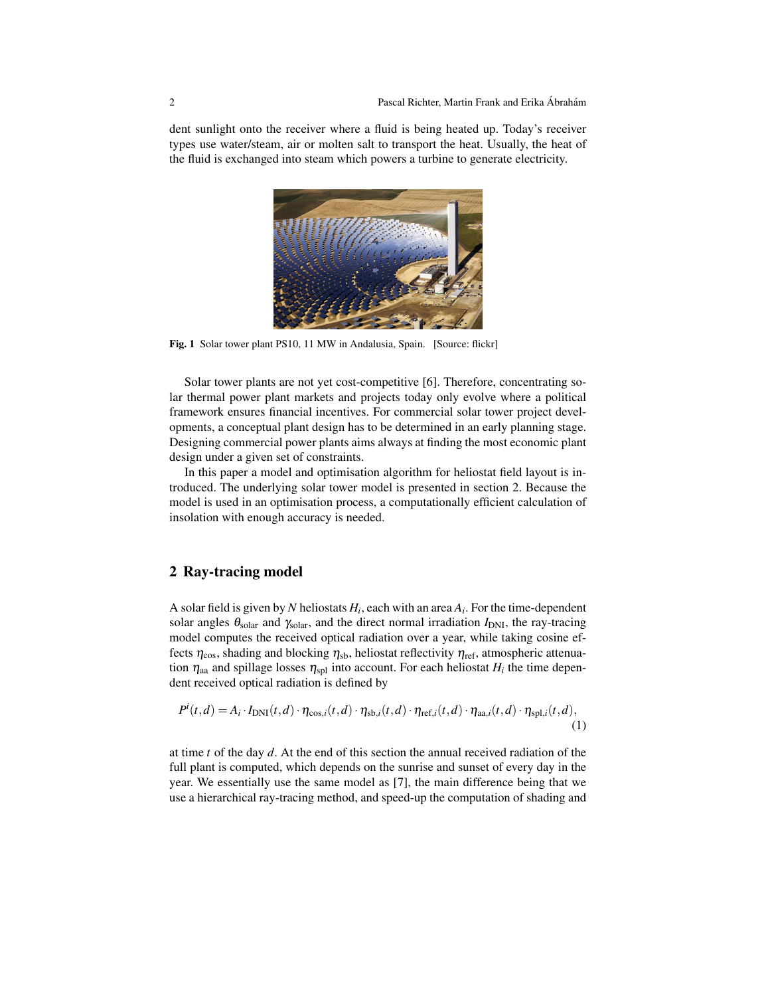dent sunlight onto the receiver where a fluid is being heated up. Today's receiver types use water/steam, air or molten salt to transport the heat. Usually, the heat of the fluid is exchanged into steam which powers a turbine to generate electricity.



Fig. 1 Solar tower plant PS10, 11 MW in Andalusia, Spain. [Source: flickr]

Solar tower plants are not yet cost-competitive [6]. Therefore, concentrating solar thermal power plant markets and projects today only evolve where a political framework ensures financial incentives. For commercial solar tower project developments, a conceptual plant design has to be determined in an early planning stage. Designing commercial power plants aims always at finding the most economic plant design under a given set of constraints.

In this paper a model and optimisation algorithm for heliostat field layout is introduced. The underlying solar tower model is presented in section 2. Because the model is used in an optimisation process, a computationally efficient calculation of insolation with enough accuracy is needed.

# 2 Ray-tracing model

A solar field is given by N heliostats  $H_i$ , each with an area  $A_i$ . For the time-dependent solar angles  $\theta_{\text{solar}}$  and  $\gamma_{\text{solar}}$ , and the direct normal irradiation  $I_{\text{DNI}}$ , the ray-tracing model computes the received optical radiation over a year, while taking cosine effects  $\eta_{\cos}$ , shading and blocking  $\eta_{\rm sb}$ , heliostat reflectivity  $\eta_{\rm ref}$ , atmospheric attenuation  $\eta_{aa}$  and spillage losses  $\eta_{spl}$  into account. For each heliostat  $H_i$  the time dependent received optical radiation is defined by

$$
P^{i}(t,d) = A_{i} \cdot I_{\text{DNI}}(t,d) \cdot \eta_{\cos,i}(t,d) \cdot \eta_{\text{sb},i}(t,d) \cdot \eta_{\text{ref},i}(t,d) \cdot \eta_{\text{aa},i}(t,d) \cdot \eta_{\text{spl},i}(t,d),\tag{1}
$$

at time *t* of the day *d*. At the end of this section the annual received radiation of the full plant is computed, which depends on the sunrise and sunset of every day in the year. We essentially use the same model as [7], the main difference being that we use a hierarchical ray-tracing method, and speed-up the computation of shading and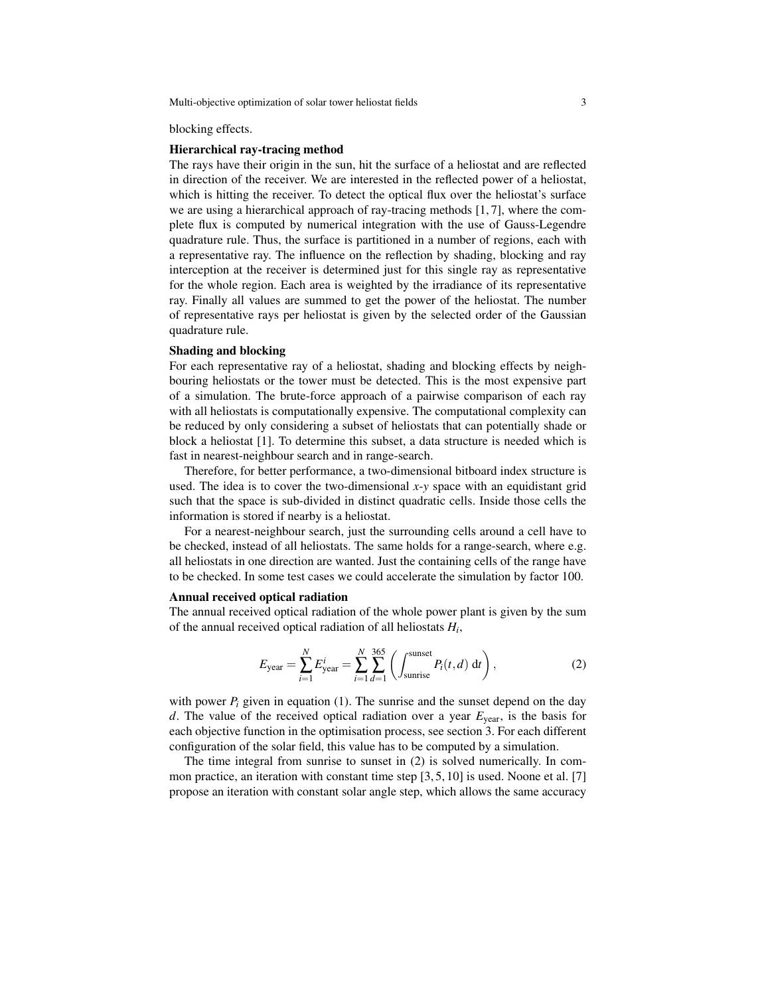Multi-objective optimization of solar tower heliostat fields 3

blocking effects.

#### Hierarchical ray-tracing method

The rays have their origin in the sun, hit the surface of a heliostat and are reflected in direction of the receiver. We are interested in the reflected power of a heliostat, which is hitting the receiver. To detect the optical flux over the heliostat's surface we are using a hierarchical approach of ray-tracing methods  $[1, 7]$ , where the complete flux is computed by numerical integration with the use of Gauss-Legendre quadrature rule. Thus, the surface is partitioned in a number of regions, each with a representative ray. The influence on the reflection by shading, blocking and ray interception at the receiver is determined just for this single ray as representative for the whole region. Each area is weighted by the irradiance of its representative ray. Finally all values are summed to get the power of the heliostat. The number of representative rays per heliostat is given by the selected order of the Gaussian quadrature rule.

### Shading and blocking

For each representative ray of a heliostat, shading and blocking effects by neighbouring heliostats or the tower must be detected. This is the most expensive part of a simulation. The brute-force approach of a pairwise comparison of each ray with all heliostats is computationally expensive. The computational complexity can be reduced by only considering a subset of heliostats that can potentially shade or block a heliostat [1]. To determine this subset, a data structure is needed which is fast in nearest-neighbour search and in range-search.

Therefore, for better performance, a two-dimensional bitboard index structure is used. The idea is to cover the two-dimensional *x*-*y* space with an equidistant grid such that the space is sub-divided in distinct quadratic cells. Inside those cells the information is stored if nearby is a heliostat.

For a nearest-neighbour search, just the surrounding cells around a cell have to be checked, instead of all heliostats. The same holds for a range-search, where e.g. all heliostats in one direction are wanted. Just the containing cells of the range have to be checked. In some test cases we could accelerate the simulation by factor 100.

#### Annual received optical radiation

The annual received optical radiation of the whole power plant is given by the sum of the annual received optical radiation of all heliostats *H<sup>i</sup>* ,

$$
E_{\text{year}} = \sum_{i=1}^{N} E_{\text{year}}^{i} = \sum_{i=1}^{N} \sum_{d=1}^{365} \left( \int_{\text{sumrise}}^{\text{sunset}} P_i(t, d) \, \mathrm{d}t \right), \tag{2}
$$

with power  $P_i$  given in equation (1). The sunrise and the sunset depend on the day *d*. The value of the received optical radiation over a year  $E_{\text{year}}$ , is the basis for each objective function in the optimisation process, see section 3. For each different configuration of the solar field, this value has to be computed by a simulation.

The time integral from sunrise to sunset in (2) is solved numerically. In common practice, an iteration with constant time step [3, 5, 10] is used. Noone et al. [7] propose an iteration with constant solar angle step, which allows the same accuracy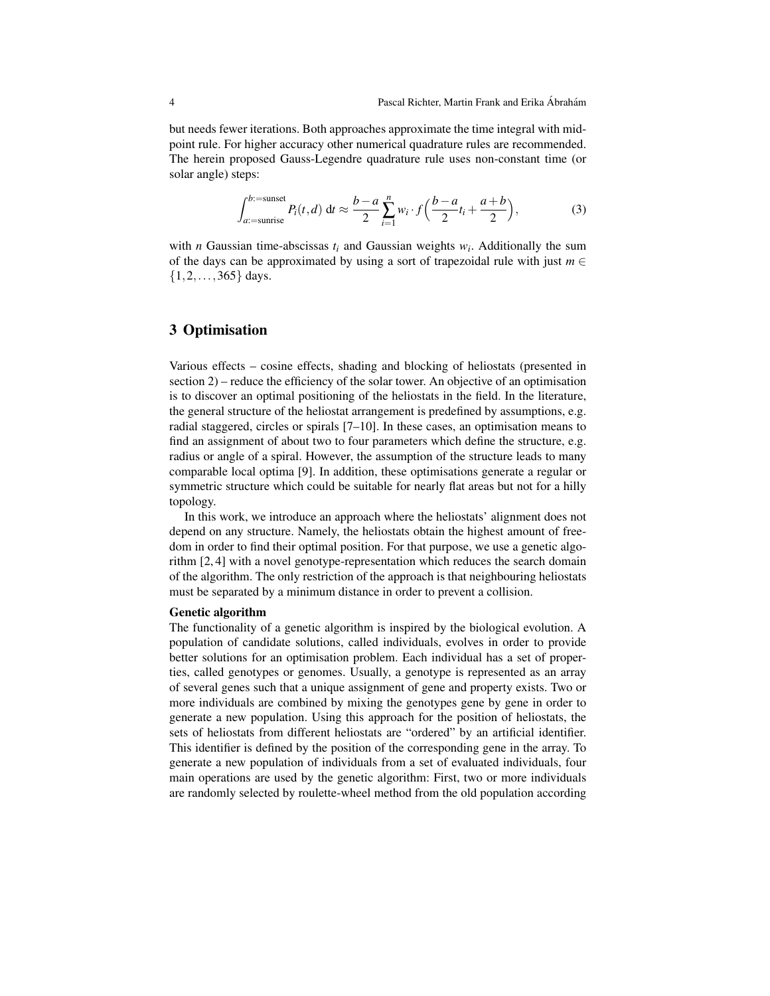but needs fewer iterations. Both approaches approximate the time integral with midpoint rule. For higher accuracy other numerical quadrature rules are recommended. The herein proposed Gauss-Legendre quadrature rule uses non-constant time (or solar angle) steps:

$$
\int_{a:=\text{sumise}}^{b:=\text{sunset}} P_i(t,d) \, \mathrm{d}t \approx \frac{b-a}{2} \sum_{i=1}^n w_i \cdot f\left(\frac{b-a}{2}t_i + \frac{a+b}{2}\right),\tag{3}
$$

with *n* Gaussian time-abscissas  $t_i$  and Gaussian weights  $w_i$ . Additionally the sum of the days can be approximated by using a sort of trapezoidal rule with just  $m \in$  $\{1, 2, \ldots, 365\}$  days.

# 3 Optimisation

Various effects – cosine effects, shading and blocking of heliostats (presented in section 2) – reduce the efficiency of the solar tower. An objective of an optimisation is to discover an optimal positioning of the heliostats in the field. In the literature, the general structure of the heliostat arrangement is predefined by assumptions, e.g. radial staggered, circles or spirals [7–10]. In these cases, an optimisation means to find an assignment of about two to four parameters which define the structure, e.g. radius or angle of a spiral. However, the assumption of the structure leads to many comparable local optima [9]. In addition, these optimisations generate a regular or symmetric structure which could be suitable for nearly flat areas but not for a hilly topology.

In this work, we introduce an approach where the heliostats' alignment does not depend on any structure. Namely, the heliostats obtain the highest amount of freedom in order to find their optimal position. For that purpose, we use a genetic algorithm [2, 4] with a novel genotype-representation which reduces the search domain of the algorithm. The only restriction of the approach is that neighbouring heliostats must be separated by a minimum distance in order to prevent a collision.

#### Genetic algorithm

The functionality of a genetic algorithm is inspired by the biological evolution. A population of candidate solutions, called individuals, evolves in order to provide better solutions for an optimisation problem. Each individual has a set of properties, called genotypes or genomes. Usually, a genotype is represented as an array of several genes such that a unique assignment of gene and property exists. Two or more individuals are combined by mixing the genotypes gene by gene in order to generate a new population. Using this approach for the position of heliostats, the sets of heliostats from different heliostats are "ordered" by an artificial identifier. This identifier is defined by the position of the corresponding gene in the array. To generate a new population of individuals from a set of evaluated individuals, four main operations are used by the genetic algorithm: First, two or more individuals are randomly selected by roulette-wheel method from the old population according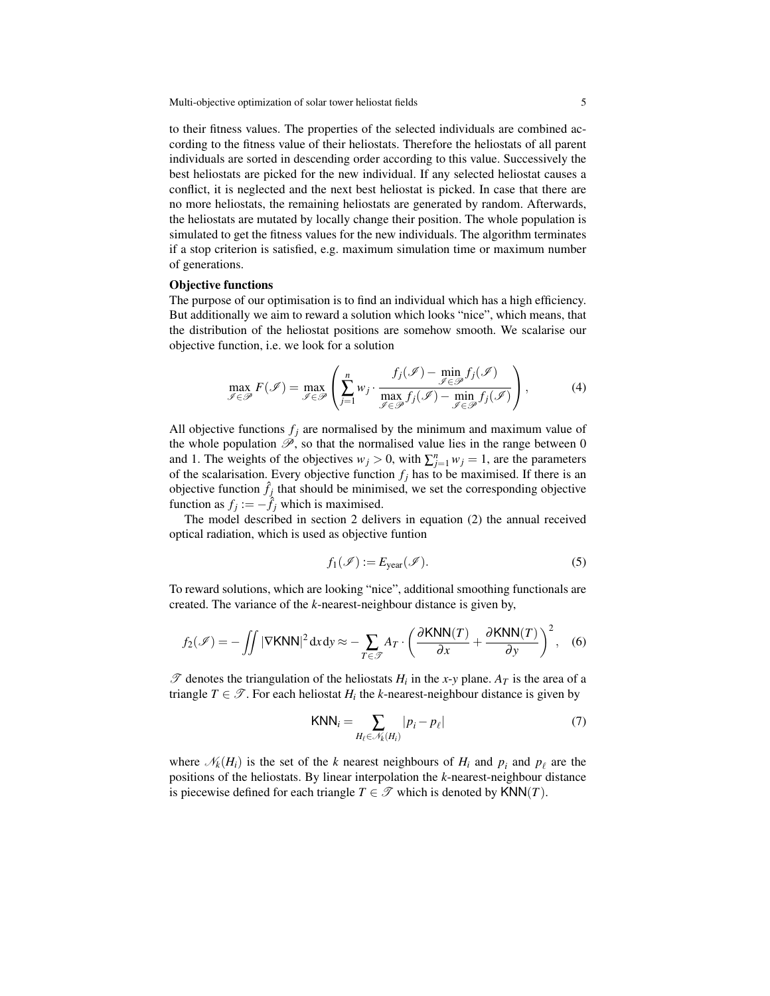Multi-objective optimization of solar tower heliostat fields 5

to their fitness values. The properties of the selected individuals are combined according to the fitness value of their heliostats. Therefore the heliostats of all parent individuals are sorted in descending order according to this value. Successively the best heliostats are picked for the new individual. If any selected heliostat causes a conflict, it is neglected and the next best heliostat is picked. In case that there are no more heliostats, the remaining heliostats are generated by random. Afterwards, the heliostats are mutated by locally change their position. The whole population is simulated to get the fitness values for the new individuals. The algorithm terminates if a stop criterion is satisfied, e.g. maximum simulation time or maximum number of generations.

### Objective functions

The purpose of our optimisation is to find an individual which has a high efficiency. But additionally we aim to reward a solution which looks "nice", which means, that the distribution of the heliostat positions are somehow smooth. We scalarise our objective function, i.e. we look for a solution

$$
\max_{\mathscr{I}\in\mathscr{P}} F(\mathscr{I}) = \max_{\mathscr{I}\in\mathscr{P}} \left( \sum_{j=1}^n w_j \cdot \frac{f_j(\mathscr{I}) - \min_{\mathscr{I}\in\mathscr{P}} f_j(\mathscr{I})}{\max_{\mathscr{I}\in\mathscr{P}} f_j(\mathscr{I}) - \min_{\mathscr{I}\in\mathscr{P}} f_j(\mathscr{I})} \right),\tag{4}
$$

All objective functions  $f_j$  are normalised by the minimum and maximum value of the whole population  $\mathscr{P}$ , so that the normalised value lies in the range between 0 and 1. The weights of the objectives  $w_j > 0$ , with  $\sum_{j=1}^n w_j = 1$ , are the parameters of the scalarisation. Every objective function  $f_j$  has to be maximised. If there is an objective function  $\hat{f}_j$  that should be minimised, we set the corresponding objective function as  $f_j := -\hat{f}_j$  which is maximised.

The model described in section 2 delivers in equation (2) the annual received optical radiation, which is used as objective funtion

$$
f_1(\mathscr{I}) := E_{\text{year}}(\mathscr{I}).
$$
\n(5)

To reward solutions, which are looking "nice", additional smoothing functionals are created. The variance of the *k*-nearest-neighbour distance is given by,

$$
f_2(\mathscr{I}) = -\iint |\nabla \mathsf{K} \mathsf{N} \mathsf{N}|^2 \, \mathrm{d}x \, \mathrm{d}y \approx -\sum_{T \in \mathscr{T}} A_T \cdot \left( \frac{\partial \mathsf{K} \mathsf{N} \mathsf{N}(T)}{\partial x} + \frac{\partial \mathsf{K} \mathsf{N} \mathsf{N}(T)}{\partial y} \right)^2, \quad (6)
$$

 $\mathscr T$  denotes the triangulation of the heliostats  $H_i$  in the *x*-*y* plane.  $A_T$  is the area of a triangle  $T \in \mathcal{T}$ . For each heliostat  $H_i$  the *k*-nearest-neighbour distance is given by

$$
KNN_i = \sum_{H_\ell \in \mathcal{N}_k(H_i)} |p_i - p_\ell| \tag{7}
$$

where  $\mathcal{N}_k(H_i)$  is the set of the *k* nearest neighbours of  $H_i$  and  $p_i$  and  $p_\ell$  are the positions of the heliostats. By linear interpolation the *k*-nearest-neighbour distance is piecewise defined for each triangle  $T \in \mathcal{T}$  which is denoted by KNN(*T*).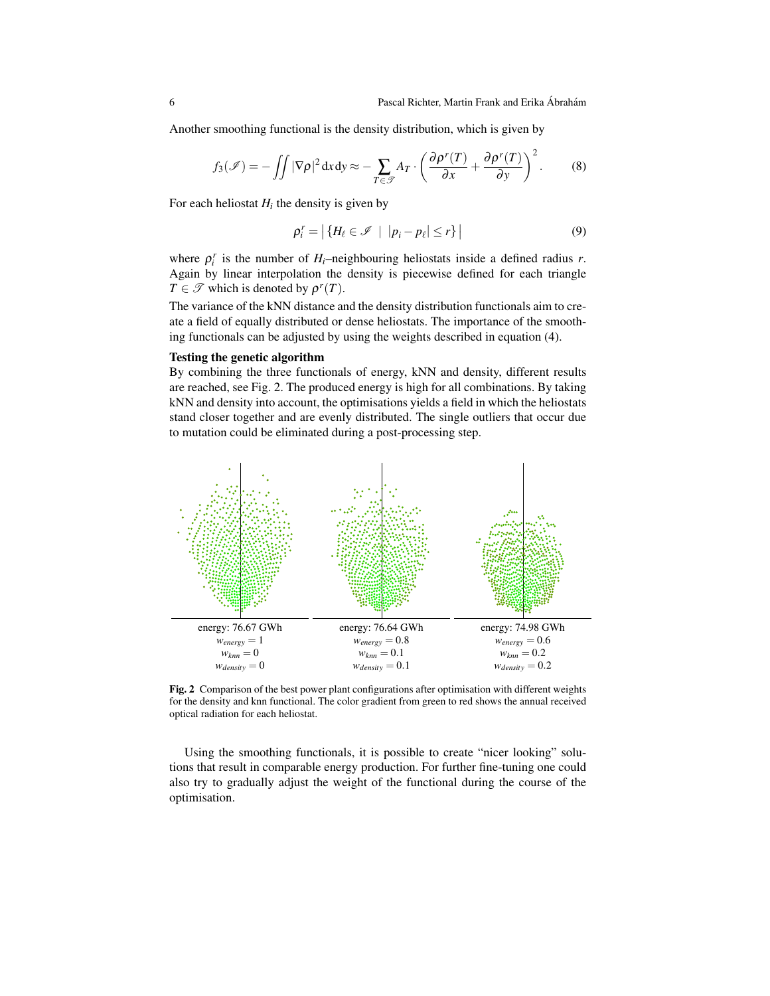Another smoothing functional is the density distribution, which is given by

$$
f_3(\mathscr{I}) = -\iint |\nabla \rho|^2 dx dy \approx -\sum_{T \in \mathscr{T}} A_T \cdot \left(\frac{\partial \rho^r(T)}{\partial x} + \frac{\partial \rho^r(T)}{\partial y}\right)^2.
$$
 (8)

For each heliostat  $H_i$  the density is given by

$$
\rho_i^r = |\{H_\ell \in \mathcal{I} \mid |p_i - p_\ell| \le r\}| \tag{9}
$$

where  $\rho_i^r$  is the number of  $H_i$ -neighbouring heliostats inside a defined radius *r*. Again by linear interpolation the density is piecewise defined for each triangle  $T \in \mathcal{T}$  which is denoted by  $\rho^r(T)$ .

The variance of the kNN distance and the density distribution functionals aim to create a field of equally distributed or dense heliostats. The importance of the smoothing functionals can be adjusted by using the weights described in equation (4).

### Testing the genetic algorithm

By combining the three functionals of energy, kNN and density, different results are reached, see Fig. 2. The produced energy is high for all combinations. By taking kNN and density into account, the optimisations yields a field in which the heliostats stand closer together and are evenly distributed. The single outliers that occur due to mutation could be eliminated during a post-processing step.



Fig. 2 Comparison of the best power plant configurations after optimisation with different weights for the density and knn functional. The color gradient from green to red shows the annual received optical radiation for each heliostat.

Using the smoothing functionals, it is possible to create "nicer looking" solutions that result in comparable energy production. For further fine-tuning one could also try to gradually adjust the weight of the functional during the course of the optimisation.